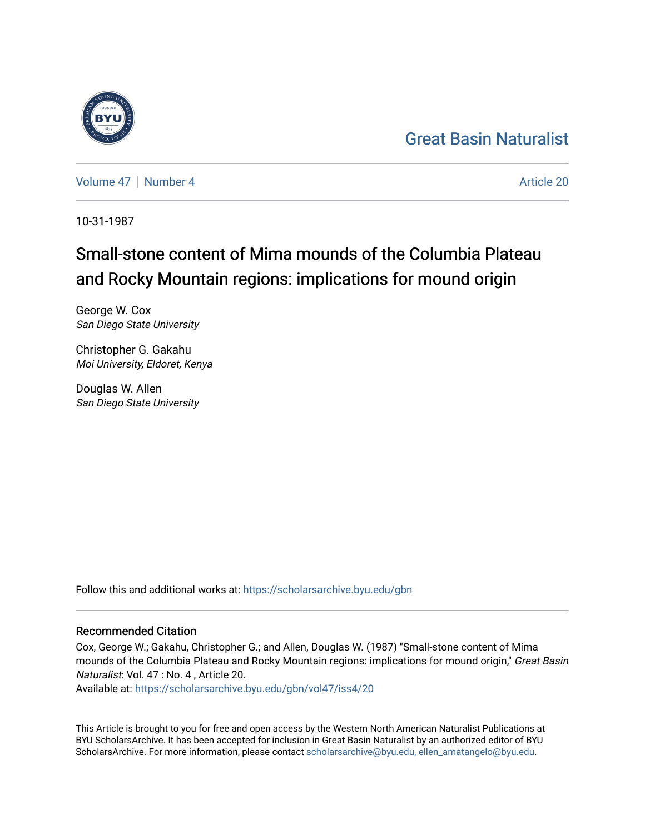## [Great Basin Naturalist](https://scholarsarchive.byu.edu/gbn)

[Volume 47](https://scholarsarchive.byu.edu/gbn/vol47) | [Number 4](https://scholarsarchive.byu.edu/gbn/vol47/iss4) Article 20

10-31-1987

# Small-stone content of Mima mounds of the Columbia Plateau and Rocky Mountain regions: implications for mound origin

George W. Cox San Diego State University

Christopher G. Gakahu Moi University, Eldoret, Kenya

Douglas W. Allen San Diego State University

Follow this and additional works at: [https://scholarsarchive.byu.edu/gbn](https://scholarsarchive.byu.edu/gbn?utm_source=scholarsarchive.byu.edu%2Fgbn%2Fvol47%2Fiss4%2F20&utm_medium=PDF&utm_campaign=PDFCoverPages) 

### Recommended Citation

Cox, George W.; Gakahu, Christopher G.; and Allen, Douglas W. (1987) "Small-stone content of Mima mounds of the Columbia Plateau and Rocky Mountain regions: implications for mound origin," Great Basin Naturalist: Vol. 47 : No. 4 , Article 20.

Available at: [https://scholarsarchive.byu.edu/gbn/vol47/iss4/20](https://scholarsarchive.byu.edu/gbn/vol47/iss4/20?utm_source=scholarsarchive.byu.edu%2Fgbn%2Fvol47%2Fiss4%2F20&utm_medium=PDF&utm_campaign=PDFCoverPages) 

This Article is brought to you for free and open access by the Western North American Naturalist Publications at BYU ScholarsArchive. It has been accepted for inclusion in Great Basin Naturalist by an authorized editor of BYU ScholarsArchive. For more information, please contact [scholarsarchive@byu.edu, ellen\\_amatangelo@byu.edu.](mailto:scholarsarchive@byu.edu,%20ellen_amatangelo@byu.edu)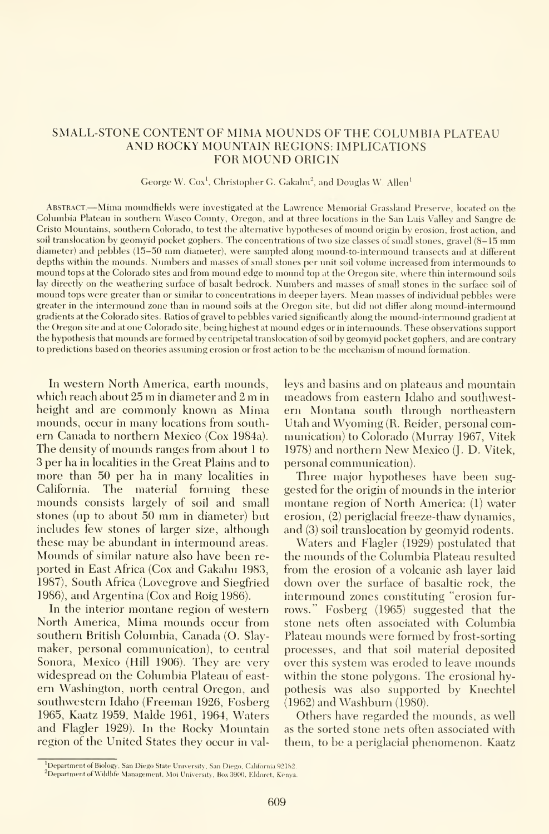#### SMALL-STONE CONTENT OF MIMA MOUNDS OF THE COLUMBIA PLATEAU AND ROCKY MOUNTAIN REGIONS: IMPLICATIONS FOR MOUND ORIGIN

#### George W. Cox<sup>1</sup>, Christopher G. Gakahu<sup>2</sup>, and Douglas W. Allen<sup>1</sup>

ABSTRACT.—Mima moundfields were investigated at the Lawrence Memorial Grassland Preserve, located on the Columbia Plateau in southern Wasco County, Oregon, and at three locations in the San Luis Valley and Sangre de Cristo Mountains, southern Colorado, to test the alternative hypotheses of mound origin by erosion, frost action, and soil translocation by geomyid pocket gophers. The concentrations of two size classes of small stones, gravel (8-15 mm diameter) and pebbles (15-50 mm diameter), were sampled along mound-to-intermound transects and at different depths within the mounds. Numbers and masses of small stones per unit soil volume increased from intermounds to mound tops at the Colorado sites and from mound edge to mound top at the Oregon site, where thin intermound soils lay directly on the weathering surface of basalt bedrock. Numbers and masses of small stones in the surface soil of mound tops were greater than or similar to concentrations in deeper layers. Mean masses of individual pebbles were greater in the intermound zone than in mound soils at the Oregon site, but did not differ along mound-intermound gradients at the Colorado sites. Ratios of gravel to pebbles varied significantly along the mound-intermound gradient at the Oregon site and at one Colorado site, being highest at mound edges or in intermounds. These observations support the hypothesis that mounds are formed by centripetal translocation of soil by geomyid pocket gophers, and are contrary to predictions based on theories assuming erosion or frost action to be the mechanism of mound formation.

In western North America, earth mounds, which reach about <sup>25</sup> m in diameter and <sup>2</sup> m in height and are commonly known as Mima mounds, occur in many locations from south ern Canada to northern Mexico (Cox 1984a). The density of mounds ranges from about <sup>1</sup> to 3 per ha in localities in the Great Plains and to more than 50 per ha in many localities in California. The material forming these mounds consists largely of soil and small stones (up to about <sup>50</sup> mm in diameter) but includes few stones of larger size, although these may be abundant in intermound areas. Mounds of similar nature also have been re ported in East Africa (Cox and Gakahu 1983, 1987), South Africa (Lovegrove and Siegfried 1986), and Argentina (Cox and Roig 1986).

In the interior montane region of western North America, Mima mounds occur from southern British Columbia, Canada (O. Slaymaker, personal communication), to central Sonora, Mexico (Hill 1906). They are very widespread on the Columbia Plateau of east ern Washington, north central Oregon, and southwestern Idaho (Freeman 1926, Fosberg 1965, Kaatz 1959, Malde 1961, 1964, Waters and Flagler 1929). In the Rocky Mountain region of the United States they occur in valleys and basins and on plateaus and mountain meadows from eastern Idaho and southwestern Montana south through northeastern Utah and Wyoming (R. Reider, personal communication) to Colorado (Murray 1967, Vitek 1978) and northern New Mexico (J. D. Vitek, personal communication).

Three major hypotheses have been sug gested for the origin of mounds in the interior montane region of North America: (1) water erosion, (2) periglacial freeze-thaw dynamics, and (3) soil translocation by geomyid rodents.

Waters and Flagler (1929) postulated that the mounds of the Columbia Plateau resulted from the erosion of a volcanic ash layer laid down over the surface of basaltic rock, the intermound zones constituting "erosion fur rows." Fosberg (1965) suggested that the stone nets often associated with Columbia Plateau mounds were formed by frost-sorting processes, and that soil material deposited over this system was eroded to leave mounds within the stone polygons. The erosional hypothesis was also supported by Knechtel (1962) and Washburn (1980).

Others have regarded the mounds, as well as the sorted stone nets often associated with them, to be a periglacial phenomenon. Kaatz

<sup>&</sup>lt;sup>1</sup>Department of Biology, San Diego State University, San Diego, California 92182. <sup>2</sup>Department of Wildlife Management, Moi University, Box 3900, Eldoret, Kenya.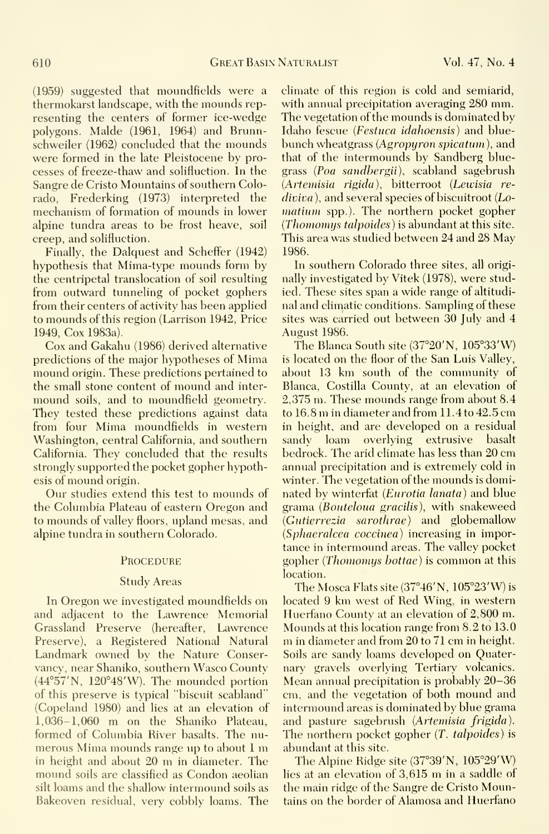(1959) suggested that moundfields were a thermokarst landscape, with the mounds rep resenting the centers of former ice-wedge polygons. Malde (1961, 1964) and Brunnschweiler (1962) concluded that the mounds were formed in the late Pleistocene by processes of freeze-thaw and solifluction. In the Sangre de Cristo Mountains of southern Colorado, Frederking (1973) interpreted the mechanism of formation of mounds in lower alpine tundra areas to be frost heave, soil creep, and solifluction.

Finally, the Dalquest and Scheffer (1942) hypothesis that Mima-type mounds form by the centripetal translocation of soil resulting from outward tunneling of pocket gophers from their centers of activity has been applied to mounds of this region (Larrison 1942, Price 1949, Cox 1983a).

Cox and Gakahu (1986) derived alternative predictions of the major hypotheses of Mima mound origin. These predictions pertained to the small stone content of mound and inter mound soils, and to moundfield geometry. They tested these predictions against data from four Mima moundfields in western Washington, central California, and southern sandy California. They concluded that the results strongly supported the pocket gopher hypothesis of mound origin.

Our studies extend this test to mounds of the Columbia Plateau of eastern Oregon and to mounds of valley floors, upland mesas, and alpine tundra in southern Colorado.

#### **PROCEDURE**

#### Study Areas

In Oregon we investigated moundfields on and adjacent to the Lawrence Memorial Grassland Preserve (hereafter, Lawrence Mounds at this location range from 8.2 to 13.0 Preserve), a Registered National Natural Landmark owned by the Nature Conservancy, near Shaniko, southern Wasco County (44°57'N, 120°48'W). The mounded portion of this preserve is typical "biscuit scabland" (Copeland 1980) and lies at an elevation of 1,036-1,060 m on the Shaniko Plateau, formed of Columbia River basalts. The nu merous Mima mounds range up to about <sup>1</sup> m in height and about <sup>20</sup> m in diameter. The mound soils are classified as Condon aeolian silt loams and the shallow intermound soils as Bakeoven residual, very cobbly loams. The

climate of this region is cold and semiarid, with annual precipitation averaging 280 mm. The vegetation of the mounds is dominated by Idaho fescue {Festuca idahoensis) and bluebunch wheatgrass (Agropyron spicatum), and that of the intermounds by Sandberg bluegrass (Poa sandbergii), scabland sagebrush (Artemisia rigida), bitterroot (Lewisia re  $diviva$ , and several species of biscuitroot  $(Lo$ matium spp.). The northern pocket gopher  $(Thomas talooides)$  is abundant at this site. This area was studied between 24 and 28 May 1986.

In southern Colorado three sites, all originally investigated by Vitek (1978), were studied. These sites span a wide range of altitudi nal and climatic conditions. Sampling of these sites was carried out between 30 July and 4 August 1986.

The Blanca South site (37°20'N, 105°33'W) is located on the floor of the San Luis Valley, about <sup>13</sup> km south of the community of Blanca, Costilla County, at an elevation of 2,375 m. These mounds range from about 8.4 to 16.8 m in diameter and from 11.4 to 42.5 cm in height, and are developed on a residual<br>sandy loam overlying extrusive basalt loam overlying bedrock. The arid climate has less than 20 cm annual precipitation and is extremely cold in winter. The vegetation of the mounds is dominated by winterfat (Eurotia lanata) and blue grama (Boutelouo gracilis), with snakeweed  $(Gutierrezia - sarothrae)$  and globemallow (Sphaeralcea coccinea) increasing in importance in intermound areas. The valley pocket gopher (*Thomomys bottae*) is common at this location.

The Mosca Flats site (37°46'N, 105°23'W) is located 9 km west of Red Wing, in western Huerfano County at an elevation of 2,800 m. m in diameter and from 20 to 71 cm in height. Soils are sandy loams developed on Quaternary gravels overlying Tertiary volcanics. Mean annual precipitation is probably 20-36 cm, and the vegetation of both mound and intermound areas is dominated by blue grama and pasture sagebrush (Artemisia frigida). The northern pocket gopher (T. talpoides) is abundant at this site.

The Alpine Ridge site  $(37°39'N, 105°29'W)$ lies at an elevation of 3,615 m in <sup>a</sup> saddle of the main ridge of the Sangre de Cristo Mountains on the border of Alamosa and Huerfano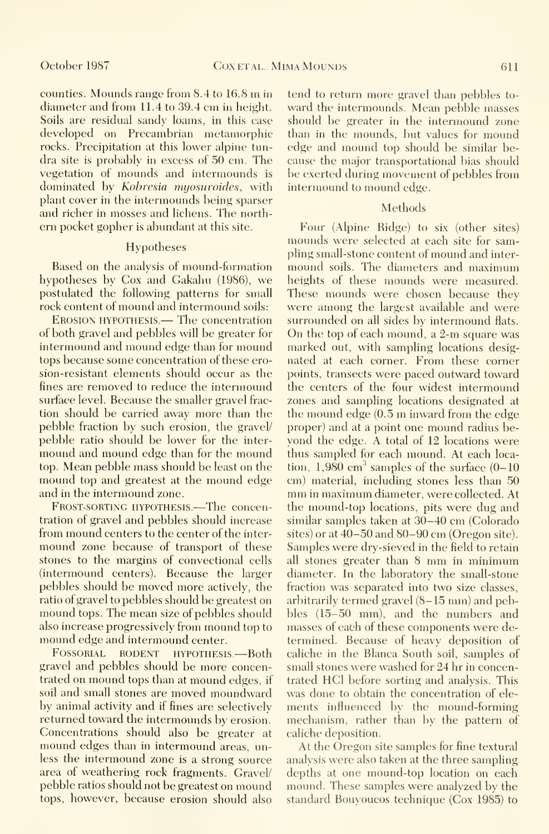counties. Mounds range from 8.4 to 16.8 m in diameter and from 11.4 to 39.4 cm in height. Soils are residual sandy loams, in this case developed on Precambrian metamorphic rocks. Precipitation at this lower alpine tun dra site is probably in excess of 50 cm. The vegetation of mounds and intermounds is dominated by Kobresia myosuroides, with plant cover in the intermounds being sparser and richer in mosses and lichens. The north ern pocket gopher is abundant at this site.

#### Hypotheses

Based on the analysis of mound-formation hypotheses by Cox and Gakahu (1986), we postulated the following patterns for small rock content of mound and intermound soils:

Erosion hypothesis.— The concentration of both gravel and pebbles will be greater for intermound and mound edge than for mound tops because some concentration of these erosion-resistant elements should occur as the fines are removed to reduce the intermound surface level. Because the smaller gravel frac tion should be carried away more than the pebble fraction by such erosion, the gravel/ pebble ratio should be lower for the inter mound and mound edge than for the mound top. Mean pebble mass should be least on the mound top and greatest at the mound edge and in the intermound zone.

Frost-sorting hypothesis.—The concentration of gravel and pebbles should increase from mound centers to the center of the inter mound zone because of transport of these stones to the margins of convectional cells (intermound centers). Because the larger pebbles should be moved more actively, the ratio of gravel to pebbles should be greatest on mound tops. The mean size of pebbles should also increase progressively from mound top to mound edge and intermound center.

FOSSORIAL RODENT HYPOTHESIS.-Both gravel and pebbles should be more concentrated on mound tops than at mound edges, if soil and small stones are moved moundward by animal activity and if fines are selectively returned toward the intermounds by erosion. Concentrations should also be greater at mound edges than in intermound areas, unless the intermound zone is a strong source area of weathering rock fragments. Gravel/ pebble ratios should not be greatest on mound tops, however, because erosion should also

tend to return more gravel than pebbles to ward the intermounds. Mean pebble masses should be greater in the intermound zone than in the mounds, but values for mound edge and mound top should be similar be cause the major transportational bias should be exerted during movement of pebbles from intermound to mound edge.

#### Methods

Four (Alpine Ridge) to six (other sites) mounds were selected at each site for sampling small-stone content of mound and inter mound soils. The diameters and maximum heights of these mounds were measured. These mounds were chosen because they were among the largest available and were surrounded on all sides by intermound flats. On the top of each mound, <sup>a</sup> 2-m square was marked out, with sampling locations designated at each corner. From these corner points, transects were paced outward toward the centers of the four widest intermound zones and sampling locations designated at the mound edge (0.5 m inward from the edge proper) and at <sup>a</sup> point one mound radius beyond the edge. A total of 12 locations were thus sampled for each mound. At each location,  $1,980$  cm<sup>3</sup> samples of the surface  $(0-10)$ cm) material, including stones less than 50 mm in maximum diameter, were collected. At the mound-top locations, pits were dug and similar samples taken at 30-40 cm (Colorado sites) or at 40-50 and 80-90 cm (Oregon site). Samples were dry-sieved in the field to retain all stones greater than <sup>8</sup> mm in minimum diameter. In the laboratory the small-stone fraction was separated into two size classes, arbitrarily termed gravel (8-15 mm) and pebbles (15-50 mm), and the numbers and masses of each of these components were determined. Because of heavy deposition of caliche in the Blanca South soil, samples of small stones were washed for 24 hr in concentrated HCl before sorting and analysis. This was done to obtain the concentration of ele ments influenced by the mound-forming mechanism, rather than by the pattern of caliche deposition.

At the Oregon site samples for fine textural analysis were also taken at the three sampling depths at one mound-top location on each mound. These samples were analyzed by the standard Bouyoucos technique (Cox 1985) to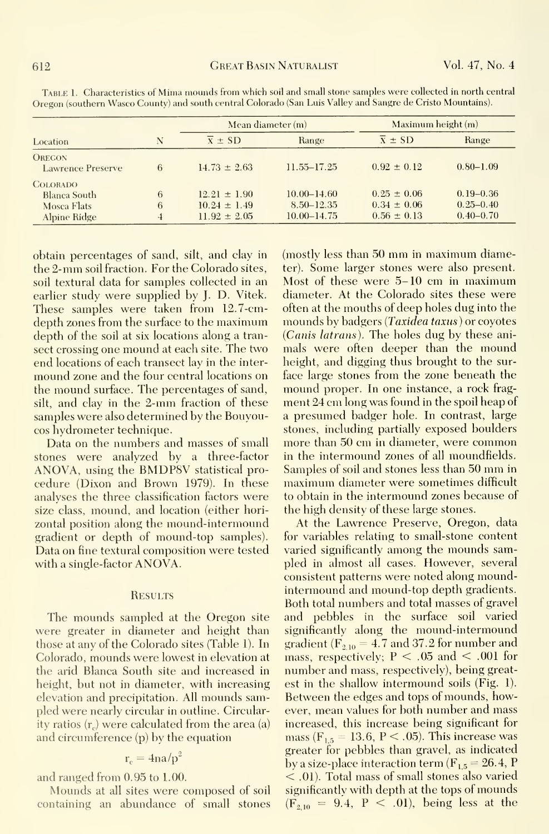|                                                                |        | Mean diameter (m)                                        |                                                      | Maximum height (m)                                    |                                                 |
|----------------------------------------------------------------|--------|----------------------------------------------------------|------------------------------------------------------|-------------------------------------------------------|-------------------------------------------------|
| Location                                                       | N      | $\overline{x}$ $\pm$ SD                                  | Range                                                | $\bar{x} \pm SD$                                      | Range                                           |
| <b>OREGON</b><br><b>Lawrence Preserve</b>                      | 6      | $14.73 \pm 2.63$                                         | $11.55 - 17.25$                                      | $0.92 \pm 0.12$                                       | $0.80 - 1.09$                                   |
| <b>COLORADO</b><br>Blanca South<br>Mosca Flats<br>Alpine Ridge | 6<br>6 | $12.21 \pm 1.90$<br>$10.24 \pm 1.49$<br>$11.92 \pm 2.05$ | $10.00 - 14.60$<br>$8.50 - 12.35$<br>$10.00 - 14.75$ | $0.25 \pm 0.06$<br>$0.34 \pm 0.06$<br>$0.56 \pm 0.13$ | $0.19 - 0.36$<br>$0.25 - 0.40$<br>$0.40 - 0.70$ |

Table 1. Characteristics of Mima mounds from which soil and small stone samples were collected in north central Oregon (southern Wasco County) and south central Colorado (San Luis Valley and Sangre de Cristo Mountains).

obtain percentages of sand, silt, and clay in the 2-mm soil fraction. For the Colorado sites, soil textural data for samples collected in an earlier study were supplied by J. D. Vitek. These samples were taken from 12.7-cmdepth zones from the surface to the maximum depth of the soil at six locations along a transect crossing one mound at each site. The two end locations of each transect lay in the intermound zone and the four central locations on the mound surface. The percentages of sand, silt, and clay in the 2-mm fraction of these samples were also determined by the Bouyoucos hydrometer technique.

Data on the numbers and masses of small stones were analyzed by a three-factor ANOVA, using the BMDP8V statistical procedure (Dixon and Brown 1979). In these analyses the three classification factors were size class, mound, and location (either horizontal position along the mound-intermound gradient or depth of mound-top samples). Data on fine textural composition were tested with a single-factor ANOVA.

#### **RESULTS**

The mounds sampled at the Oregon site were greater in diameter and height than those at any of the Colorado sites (Table 1). In Colorado, mounds were lowest in elevation at the arid Blanca South site and increased in height, but not in diameter, with increasing elevation and precipitation. All mounds sampled were nearly circular in outline. Circularity ratios  $(r<sub>c</sub>)$  were calculated from the area (a) and circumference  $(p)$  by the equation

$$
\mathbf{r}_{\rm e} = 4 \mathbf{n} a / \mathbf{p}^2
$$

and ranged from 0.95 to 1.00.

Mounds at all sites were composed of soil containing an abundance of small stones (mostly less than 50 mm in maximum diameter). Some larger stones were also present. Most of these were 5–10 cm in maximum diameter. At the Colorado sites these were often at the mouths of deep holes dug into the mounds by badgers (Taxidea taxus) or coyotes (Canis latrans). The holes dug by these animals were often deeper than the mound height, and digging thus brought to the surface large stones from the zone beneath the mound proper. In one instance, a rock fragment 24 cm long was found in the spoil heap of a presumed badger hole. In contrast, large stones, including partially exposed boulders more than 50 cm in diameter, were common in the intermound zones of all moundfields. Samples of soil and stones less than 50 mm in maximum diameter were sometimes difficult to obtain in the intermound zones because of the high density of these large stones.

At the Lawrence Preserve, Oregon, data for variables relating to small-stone content varied significantly among the mounds sampled in almost all cases. However, several consistent patterns were noted along moundintermound and mound-top depth gradients. Both total numbers and total masses of gravel and pebbles in the surface soil varied significantly along the mound-intermound gradient ( $F_{2,10} = 4.7$  and 37.2 for number and mass, respectively;  $P < .05$  and  $< .001$  for number and mass, respectively), being greatest in the shallow intermound soils  $(Fig. 1)$ . Between the edges and tops of mounds, however, mean values for both number and mass increased, this increase being significant for mass ( $F_{1.5} = 13.6$ , P < .05). This increase was greater for pebbles than gravel, as indicated by a size-place interaction term  $(F_{1.5} = 26.4, P)$  $\langle 0.01 \rangle$ . Total mass of small stones also varied significantly with depth at the tops of mounds  $(F_{2,10} = 9.4, P < .01)$ , being less at the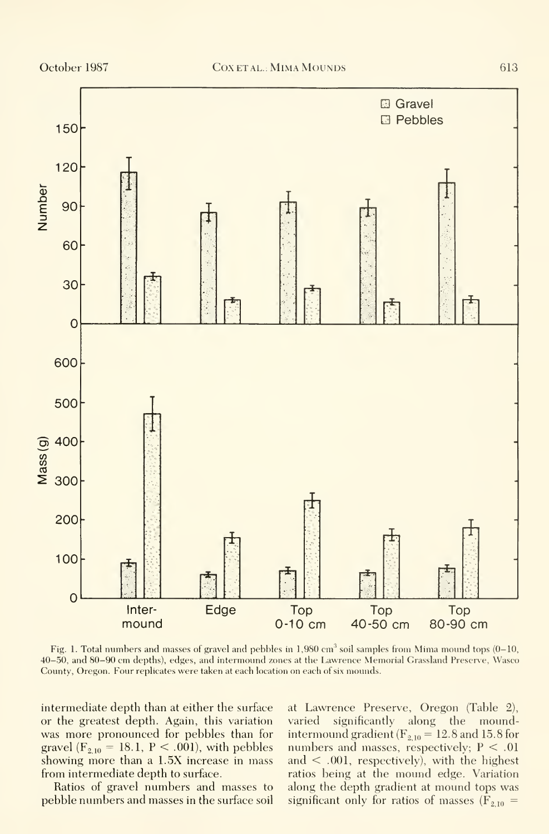

Fig. 1. Total numbers and masses of gravel and pebbles in  $1,980 \text{ cm}^3$  soil samples from Mima mound tops (0-10, 40-50, and 80-90 cm depths), edges, and intermound zones at the Lawrence Memorial Grassland Preserve, Wasco County, Oregon. Four replicates were taken at each location on each of six mounds.

intermediate depth than at either the surface or the greatest depth. Again, this variation was more pronounced for pebbles than for gravel ( $F_{2,10} = 18.1$ ,  $P < .001$ ), with pebbles showing more than a 1.5X increase in mass from intermediate depth to surface.

Ratios of gravel numbers and masses to pebble numbers and masses in the surface soil at Lawrence Preserve, Oregon (Table 2), varied significantly along the moundintermound gradient ( $F_{2,10} = 12.8$  and 15.8 for numbers and masses, respectively;  $P < .01$ and < .001, respectively), with the highest ratios being at the mound edge. Variation along the depth gradient at mound tops was significant only for ratios of masses ( $F_{2,10}$  =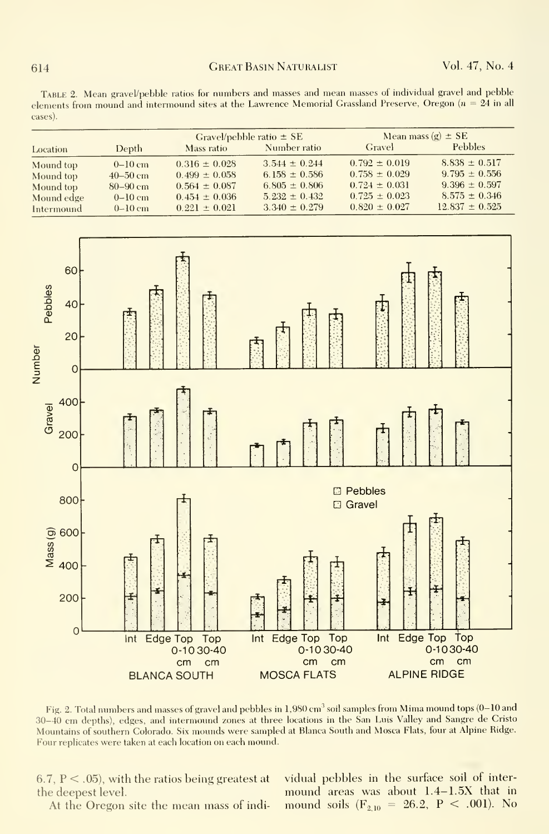Table 2. Mean gravel/pebble ratios for numbers and masses and mean masses of individual gravel and pebble elements from mound and intermound sites at the Lawrence Memorial Grassland Preserve, Oregon ( $n = 24$  in all cases).

|            |              | Gravel/pebble ratio $\pm$ SE |                   | Mean mass $(g) \pm SE$ |                    |
|------------|--------------|------------------------------|-------------------|------------------------|--------------------|
| Location   | Depth        | Mass ratio                   | Number ratio      | Gravel                 | <b>Pebbles</b>     |
| Mound top  | $0-10$ cm    | $0.316 \pm 0.028$            | $3.544 \pm 0.244$ | $0.792 \pm 0.019$      | $8.838 \pm 0.517$  |
| Mound top  | $40 - 50$ cm | $0.499 \pm 0.058$            | 6.158 $\pm$ 0.586 | $0.758 \pm 0.029$      | $9.795 \pm 0.556$  |
| Mound top  | $80 - 90$ cm | $0.564 \pm 0.087$            | $6.805 \pm 0.806$ | $0.724 \pm 0.031$      | $9.396 \pm 0.597$  |
| Mound edge | $0-10$ cm    | $0.454 \pm 0.036$            | $5.232 \pm 0.432$ | $0.725 \pm 0.023$      | $8.575 \pm 0.346$  |
| Intermound | $0-10$ cm    | $0.221 \pm 0.021$            | $3.340 \pm 0.279$ | $0.820 \pm 0.027$      | $12.837 \pm 0.525$ |



Fig. 2. Total numbers and masses of gravel and pebbles in 1,980 cm<sup>3</sup> soil samples from Mima mound tops (0-10 and 30-40 cm depths), edges, and intermound zones at three locations in the San Luis Valley and Sangre de Cristo Mountains of southern Colorado. Six mounds were sampled at Blanca South and Mosca Flats, four at Alpine Ridge. Four replicates were taken at each location on each mound.

6.7,  $P < .05$ ), with the ratios being greatest at the deepest level.

At the Oregon site the mean mass of indi-

vidual pebbles in the surface soil of intermound areas was about 1.4-1.5X that in mound soils ( $F_{2,10} = 26.2$ ,  $P < .001$ ). No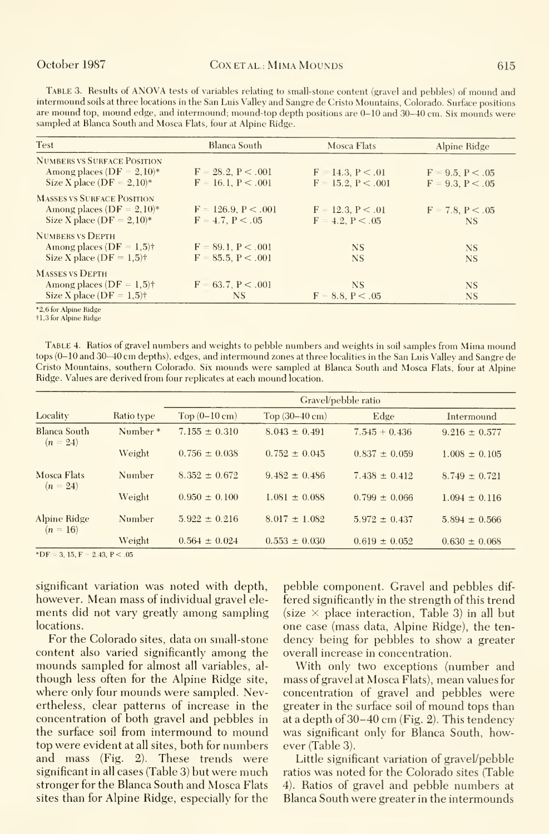TABLE 3. Results of ANOVA tests of variables relating to small-stone content (gravel and pebbles) of mound and intermound soils at three locations in the San Luis Valley and Sangre de Cristo Mountains, Colorado. Surface positions are mound top, mound edge, and intermound; mound-top depth positions are 0-10 and 30-40 cm. Six mounds were sampled at Blanca South and Mosca Flats, four at Alpine Ridge.

| <b>Test</b>                              | Blanca South             | Mosca Flats           | Alpine Ridge        |
|------------------------------------------|--------------------------|-----------------------|---------------------|
| <b>NUMBERS VS SURFACE POSITION</b>       |                          |                       |                     |
| Among places ( $DF = 2,10$ )*            | $F = 28.2$ , $P < .001$  | $F = 14.3, P < 0.01$  | $F = 9.5, P < 0.05$ |
| Size X place (DF = $2,10$ )*             | $F = 16.1, P < .001$     | $F = 15.2, P < .001$  | $F = 9.3, P < 0.05$ |
| <b>MASSES VS SURFACE POSITION</b>        |                          |                       |                     |
| Among places (DF = $2,10$ )*             | $F = 126.9$ , $P < .001$ | $F = 12.3, P < .01$   | $F = 7.8, P < 0.05$ |
| Size X place ( $DF = 2,10$ )*            | $F = 4.7, P < .05$       | $F = 4.2$ , $P < .05$ | NS.                 |
| <b>NUMBERS VS DEPTH</b>                  |                          |                       |                     |
| Among places ( $DF = 1.5$ )†             | $F = 89.1, P < .001$     | <b>NS</b>             | <b>NS</b>           |
| Size X place ( $DF = 1.5$ ) <sup>†</sup> | $F = 85.5, P < .001$     | <b>NS</b>             | <b>NS</b>           |
| <b>MASSES VS DEPTH</b>                   |                          |                       |                     |
| Among places ( $DF = 1.5$ )†             | $F = 63.7, P < .001$     | <b>NS</b>             | <b>NS</b>           |
| Size X place ( $DF = 1.5$ )†             | NS                       | $F = 8.8, P < .05$    | <b>NS</b>           |

\*2.6 for Alpine Ridge

†1,3 for Alpine Ridge

TABLE 4. Ratios of gravel numbers and weights to pebble numbers and weights in soil samples from Mima mound tops (0-10 and 30-40 cm depths), edges, and intermound zones at three localities in the San Luis Valley and Sangre de Cristo Mountains, southern Colorado. Six mounds were sampled at Blanca South and Mosca Flats, four at Alpine Ridge. Values are derived from four replicates at each mound location.

|                            |            | Gravel/pebble ratio     |                          |                   |                   |  |
|----------------------------|------------|-------------------------|--------------------------|-------------------|-------------------|--|
| Locality                   | Ratio type | Top $(0-10 \text{ cm})$ | Top $(30-40 \text{ cm})$ | Edge              | Intermound        |  |
| Blanca South<br>$(n = 24)$ | Number*    | $7.155 \pm 0.310$       | $8.043 \pm 0.491$        | $7.545 + 0.436$   | $9.216 \pm 0.577$ |  |
|                            | Weight     | $0.756 \pm 0.038$       | $0.752 \pm 0.045$        | $0.837 \pm 0.059$ | $1.008 \pm 0.105$ |  |
| Mosca Flats<br>$(n = 24)$  | Number     | $8.352 \pm 0.672$       | $9.482 \pm 0.486$        | $7.438 \pm 0.412$ | $8.749 \pm 0.721$ |  |
|                            | Weight     | $0.950 + 0.100$         | $1.081 \pm 0.088$        | $0.799 \pm 0.066$ | $1.094 \pm 0.116$ |  |
| Alpine Ridge<br>$(n = 16)$ | Number     | $5.922 \pm 0.216$       | $8.017 + 1.082$          | $5.972 \pm 0.437$ | $5.894 \pm 0.566$ |  |
|                            | Weight     | $0.564 \pm 0.024$       | $0.553 \pm 0.030$        | $0.619 \pm 0.052$ | $0.630 \pm 0.068$ |  |

\*DF = 3, 15, F = 2,43, P < .05

significant variation was noted with depth, however. Mean mass of individual gravel elements did not vary greatly among sampling locations.

For the Colorado sites, data on small-stone content also varied significantly among the mounds sampled for almost all variables, although less often for the Alpine Ridge site, where only four mounds were sampled. Nevertheless, clear patterns of increase in the concentration of both gravel and pebbles in the surface soil from intermound to mound top were evident at all sites, both for numbers and mass (Fig. 2). These trends were significant in all cases (Table 3) but were much stronger for the Blanca South and Mosca Flats sites than for Alpine Ridge, especially for the

pebble component. Gravel and pebbles differed significantly in the strength of this trend (size  $\times$  place interaction, Table 3) in all but one case (mass data, Alpine Ridge), the tendency being for pebbles to show a greater overall increase in concentration.

With only two exceptions (number and mass of gravel at Mosca Flats), mean values for concentration of gravel and pebbles were greater in the surface soil of mound tops than at a depth of 30–40 cm (Fig. 2). This tendency was significant only for Blanca South, however (Table 3).

Little significant variation of gravel/pebble ratios was noted for the Colorado sites (Table 4). Ratios of gravel and pebble numbers at Blanca South were greater in the intermounds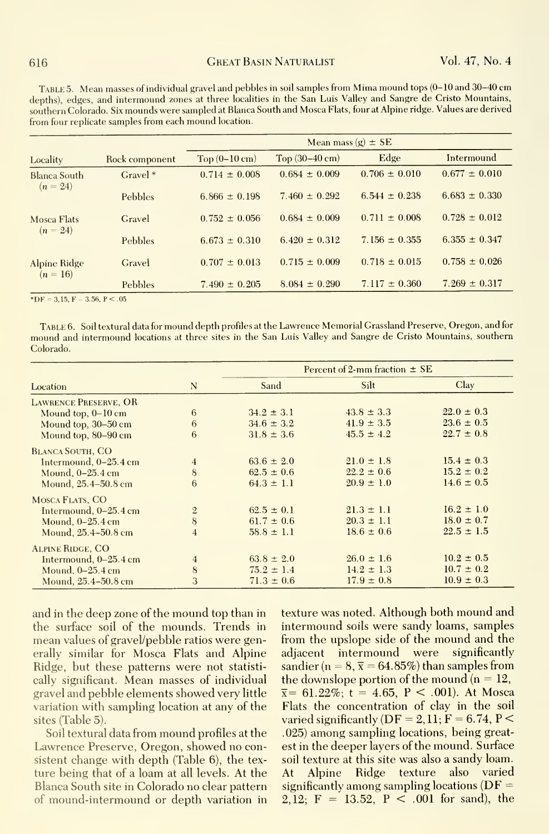Table 5. Mean masses of individual gravel and pebbles in soil samples from Mima mound tops (0-10 and 30-40 cm depths), edges, and intermound zones at three localities in the San Luis Valley and Sangre de Cristo Mountains, southern Colorado. Six mounds were sampled at Blanca South and Mosca Flats, four at Alpine ridge. Values are derived from four replicate samples from each mound location.

| Locality                   |                | Mean mass $(g) \pm SE$ |                          |                   |                   |  |
|----------------------------|----------------|------------------------|--------------------------|-------------------|-------------------|--|
|                            | Rock component | $Top(0-10 \text{ cm})$ | Top $(30-40 \text{ cm})$ | Edge              | Intermound        |  |
| Blanca South<br>$(n = 24)$ | $Gravel*$      | $0.714 \pm 0.008$      | $0.684 \pm 0.009$        | $0.706 \pm 0.010$ | $0.677 \pm 0.010$ |  |
|                            | Pebbles        | $6.866 \pm 0.198$      | $7.460 \pm 0.292$        | $6.544 \pm 0.238$ | $6.683 \pm 0.330$ |  |
| Mosca Flats                | Gravel         | $0.752 \pm 0.056$      | $0.684 \pm 0.009$        | $0.711 \pm 0.008$ | $0.728 \pm 0.012$ |  |
| $(n = 24)$                 | Pebbles        | $6.673 \pm 0.310$      | $6.420 \pm 0.312$        | $7.156 \pm 0.355$ | $6.355 \pm 0.347$ |  |
| Alpine Ridge<br>$(n = 16)$ | Gravel         | $0.707 \pm 0.013$      | $0.715 \pm 0.009$        | $0.718 \pm 0.015$ | $0.758 \pm 0.026$ |  |
|                            | Pebbles        | $7.490 \pm 0.205$      | $8.084 \pm 0.290$        | $7.117 \pm 0.360$ | $7.269 \pm 0.317$ |  |

 $*DF = 3,15, F - 3.56, P < .05$ 

Table 6. Soil textural data for mound depth profiles at the Lawrence Memorial Grassland Preserve, Oregon, and for mound and intermound locations at three sites in the San Luis Valley and Sangre de Gristo Mountains, southern Colorado.

|                              |                | Percent of 2-mm fraction $\pm$ SE |                |                |  |
|------------------------------|----------------|-----------------------------------|----------------|----------------|--|
| Location                     | N              | Sand                              | Silt           | Clav           |  |
| <b>LAWRENCE PRESERVE, OR</b> |                |                                   |                |                |  |
| Mound top, $0-10$ cm         | 6              | $34.2 \pm 3.1$                    | $43.8 \pm 3.3$ | $22.0 \pm 0.3$ |  |
| Mound top, 30-50 cm          | 6              | $34.6 \pm 3.2$                    | $41.9 \pm 3.5$ | $23.6 \pm 0.5$ |  |
| Mound top, 80-90 cm          | 6              | $31.8 \pm 3.6$                    | $45.5 \pm 4.2$ | $22.7 \pm 0.8$ |  |
| <b>BLANCA SOUTH, CO</b>      |                |                                   |                |                |  |
| Intermound, 0-25.4 cm        | $\overline{4}$ | $63.6 \pm 2.0$                    | $21.0 \pm 1.8$ | $15.4 \pm 0.3$ |  |
| Mound, $0-25.4$ cm           | 8              | $62.5 \pm 0.6$                    | $22.2 \pm 0.6$ | $15.2 \pm 0.2$ |  |
| Mound, 25.4-50.8 cm          | 6              | $64.3 \pm 1.1$                    | $20.9 \pm 1.0$ | $14.6 \pm 0.5$ |  |
| MOSCA FLATS, CO              |                |                                   |                |                |  |
| Intermound, $0-25.4$ cm      | $\overline{2}$ | $62.5 \pm 0.1$                    | $21.3 \pm 1.1$ | $16.2 \pm 1.0$ |  |
| Mound, $0-25.4$ cm           | 8              | $61.7 \pm 0.6$                    | $20.3 \pm 1.1$ | $18.0 \pm 0.7$ |  |
| Mound, 25.4-50.8 cm          | $\overline{4}$ | $58.8 \pm 1.1$                    | $18.6 \pm 0.6$ | $22.5 \pm 1.5$ |  |
| <b>ALPINE RIDGE, CO</b>      |                |                                   |                |                |  |
| Intermound, $0-25.4$ cm      | $\overline{4}$ | $63.8 \pm 2.0$                    | $26.0 \pm 1.6$ | $10.2 \pm 0.5$ |  |
| Mound, $0-25.4$ cm           | 8              | $75.2 \pm 1.4$                    | $14.2 \pm 1.3$ | $10.7 \pm 0.2$ |  |
| Mound, 25.4-50.8 cm          | 3              | $71.3 \pm 0.6$                    | $17.9 \pm 0.8$ | $10.9 \pm 0.3$ |  |

and in the deep zone of the mound top than in the surface soil of the mounds. Trends in mean values of gravel/pebble ratios were generally similar for Mosca Flats and Alpine Ridge, but these patterns were not statistically significant. Mean masses of individual gravel and pebble elements showed very little variation with sampling location at any of the sites (Table 5).

Soil textural data from mound profiles at the Lawrence Preserve, Oregon, showed no consistent change with depth (Table 6), the texture being that of a loam at all levels. At the Blanca South site in Colorado no clear pattern of mound-intermound or depth variation in texture was noted. Although both mound and intermound soils were sandy loams, samples from the unslope side of the mound and the adjacent intermound were significantly sandier ( $n = 8$ ,  $\bar{x} = 64.85\%$ ) than samples from the downslope portion of the mound  $(n = 12,$  $\bar{x}$  = 61.22%; t = 4.65, P < .001). At Mosca Flats the concentration of clay in the soil varied significantly ( $DF = 2$ , 11;  $F = 6.74$ ,  $P \le$ .025) among sampling locations, being greatest in the deeper layers of the mound. Surface soil texture at this site was also a sandy loam. At Alpine Ridge texture also varied significantly among sampling locations ( $DF =$ 2,12;  $F = 13.52$ ,  $P < .001$  for sand), the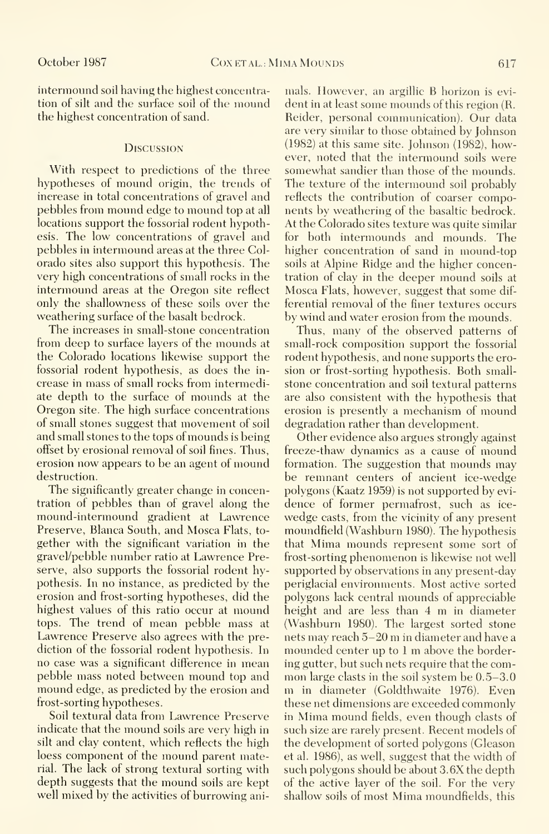intermound soil having the highest concentration of silt and the surface soil of the mound the highest concentration of sand.

#### **Discussion**

With respect to predictions of the three hypotheses of mound origin, the trends of increase in total concentrations of gravel and pebbles from mound edge to mound top at all locations support the fossorial rodent hypothesis. The low concentrations of gravel and pebbles in intermound areas at the three Colorado sites also support this hypothesis. The very high concentrations of small rocks in the intermound areas at the Oregon site reflect only the shallowness of these soils over the weathering surface of the basalt bedrock.

The increases in small-stone concentration from deep to surface layers of the mounds at the Colorado locations likewise support the fossorial rodent hypothesis, as does the in crease in mass of small rocks from intermediate depth to the surface of mounds at the Oregon site. The high surface concentrations of small stones suggest that movement of soil and small stones to the tops of mounds is being offset by erosional removal of soil fines. Thus, erosion now appears to be an agent of mound destruction.

The significantly greater change in concentration of pebbles than of gravel along the mound-intermound gradient at Lawrence Preserve, Blanca South, and Mosca Flats, to gether with the significant variation in the gravel/pebble number ratio at Lawrence Preserve, also supports the fossorial rodent hypothesis. In no instance, as predicted by the erosion and frost-sorting hypotheses, did the highest values of this ratio occur at mound tops. The trend of mean pebble mass at Lawrence Preserve also agrees with the prediction of the fossorial rodent hypothesis. In no case was a significant difference in mean pebble mass noted between mound top and mound edge, as predicted by the erosion and frost-sorting hypotheses.

Soil textural data from Lawrence Preserve indicate that the mound soils are very high in silt and clay content, which reflects the high loess component of the mound parent material. The lack of strong textural sorting with depth suggests that the mound soils are kept well mixed by the activities of burrowing animals. However, an argillic B horizon is evi dent in at least some mounds of this region (R. Reider, personal communication). Our data are very similar to those obtained by Johnson (1982) at this same site. Johnson (1982), however, noted that the intermound soils were somewhat sandier than those of the mounds. The texture of the intermound soil probably reflects the contribution of coarser components by weathering of the basaltic bedrock. At the Colorado sites texture was quite similar for both intermounds and mounds. The higher concentration of sand in mound-top soils at Alpine Ridge and the higher concentration of clay in the deeper mound soils at Mosca Flats, however, suggest that some dif ferential removal of the finer textures occurs by wind and water erosion from the mounds.

Thus, many of the observed patterns of small-rock composition support the fossorial rodent hypothesis, and none supports the erosion or frost-sorting hypothesis. Both small stone concentration and soil textural patterns are also consistent with the hypothesis that erosion is presently <sup>a</sup> mechanism of mound degradation rather than development.

Other evidence also argues strongly against freeze-thaw dynamics as a cause of mound formation. The suggestion that mounds may be remnant centers of ancient ice-wedge polygons (Kaatz 1959) is not supported by evi dence of former permafrost, such as ice wedge casts, from the vicinity of any present moundfield (Washburn 1980). The hypothesis that Mima mounds represent some sort of frost-sorting phenomenon is likewise not well supported by observations in any present-day periglacial environments. Most active sorted polygons lack central mounds of appreciable height and are less than <sup>4</sup> m in diameter (Washburn 1980). The largest sorted stone nets may reach 5-20 m in diameter and have <sup>a</sup> mounded center up to <sup>1</sup> m above the bordering gutter, but such nets require that the com mon large clasts in the soil system be 0.5-3.0 m in diameter (Goldthwaite 1976). Even these net dimensions are exceeded commonly in Mima mound fields, even though clasts of such size are rarely present. Recent models of the development of sorted polygons (Gleason et al. 1986), as well, suggest that the width of such polygons should be about 3.6X the depth of the active layer of the soil. For the very shallow soils of most Mima moundfields, this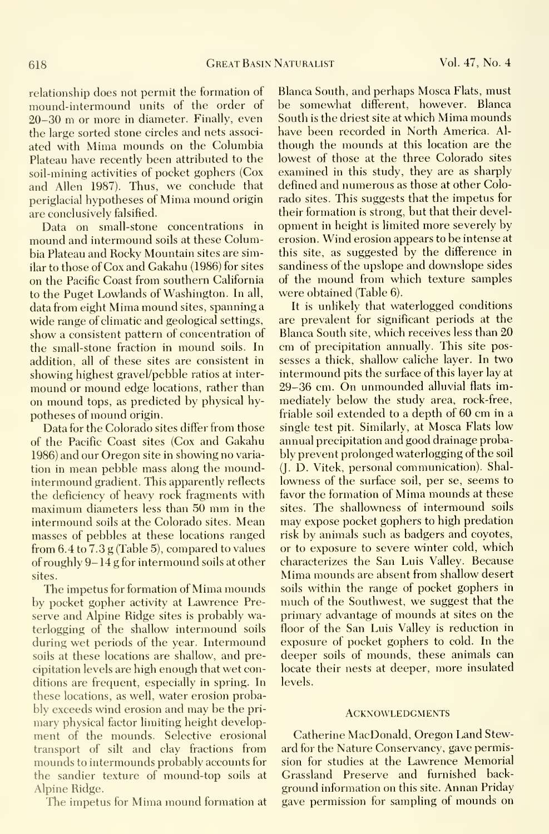relationship does not permit the formation of mound-intermound units of the order of 20-30 m or more in diameter. Finally, even the large sorted stone circles and nets associ ated with Mima mounds on the Columbia Plateau have recently been attributed to the soil-mining activities of pocket gophers (Cox and Allen 1987). Thus, we conclude that periglacial hypotheses of Mima mound origin are conclusively falsified.

Data on small-stone concentrations in mound and intermound soils at these Columbia Plateau and Rocky Mountain sites are similar to those of Cox and Gakahu (1986) for sites on the Pacific Coast from southern California to the Puget Lowlands of Washington. In all, data from eight Mima mound sites, spanning <sup>a</sup> wide range of climatic and geological settings, show a consistent pattern of concentration of the small-stone fraction in mound soils. In addition, all of these sites are consistent in showing highest gravel/pebble ratios at inter mound or mound edge locations, rather than on mound tops, as predicted by physical hypotheses of mound origin.

Data for the Colorado sites differ from those of the Pacific Coast sites (Cox and Gakahu 1986) and our Oregon site in showing no varia tion in mean pebble mass along the moundintermound gradient. This apparently reflects the deficiency of heavy rock fragments with maximum diameters less than <sup>50</sup> mm in the intermound soils at the Colorado sites. Mean masses of pebbles at these locations ranged from 6.4 to 7.3 g (Table 5), compared to values of roughly 9- 14 g for intermound soils at other sites.

The impetus for formation of Mima mounds by pocket gopher activity at Lawrence Pre serve and Alpine Ridge sites is probably waterlogging of the shallow intermound soils during wet periods of the year. Intermound soils at these locations are shallow, and precipitation levels are high enough that wet conditions are frequent, especially in spring. In these locations, as well, water erosion probably exceeds wind erosion and may be the primary physical factor limiting height development of the mounds. Selective erosional transport of silt and clay fractions from mounds to intermounds probably accounts for the sandier texture of mound-top soils at Alpine Ridge.

The impetus for Mima mound formation at

Blanca South, and perhaps Mosca Flats, must be somewhat different, however. Blanca South is the driest site at which Mima mounds have been recorded in North America. Al though the mounds at this location are the lowest of those at the three Colorado sites examined in this study, they are as sharply defined and numerous as those at other Colorado sites. This suggests that the impetus for their formation is strong, but that their development in height is limited more severely by erosion. Wind erosion appears to be intense at this site, as suggested by the difference in sandiness of the upslope and downslope sides of the mound from which texture samples were obtained (Table 6).

It is unlikely that waterlogged conditions are prevalent for significant periods at the Blanca South site, which receives less than 20 cm of precipitation annually. This site possesses a thick, shallow caliche layer. In two intermound pits the surface of this layer lay at 29-36 cm. On unmounded alluvial flats immediately below the study area, rock-free, friable soil extended to <sup>a</sup> depth of 60 cm in <sup>a</sup> single test pit. Similarly, at Mosca Flats low annual precipitation and good drainage probably prevent prolonged waterlogging of the soil (J. D. Vitek, personal communication). Shal lowness of the surface soil, per se, seems to favor the formation of Mima mounds at these sites. The shallowness of intermound soils may expose pocket gophers to high predation risk by animals such as badgers and coyotes, or to exposure to severe winter cold, which characterizes the San Luis Valley. Because Mima mounds are absent from shallow desert soils within the range of pocket gophers in much of the Southwest, we suggest that the primary advantage of mounds at sites on the floor of the San Luis Valley is reduction in exposure of pocket gophers to cold. In the deeper soils of mounds, these animals can locate their nests at deeper, more insulated levels.

#### **ACKNOWLEDGMENTS**

Catherine MacDonald, Oregon Land Steward for the Nature Conservancy, gave permission for studies at the Lawrence Memorial Grassland Preserve and furnished background information on this site. Annan Priday gave permission for sampling of mounds on